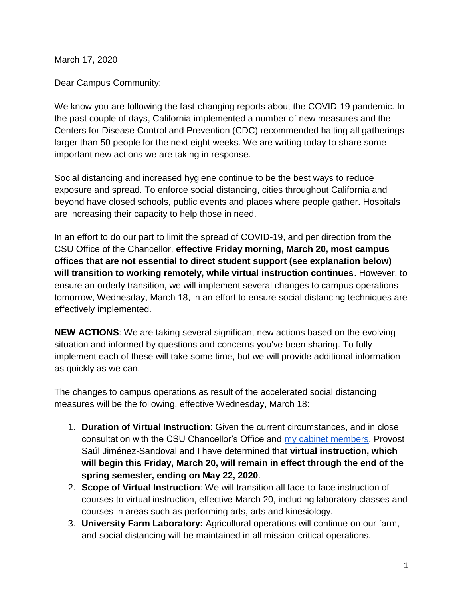March 17, 2020

Dear Campus Community:

We know you are following the fast-changing reports about the COVID-19 pandemic. In the past couple of days, California implemented a number of new measures and the Centers for Disease Control and Prevention (CDC) recommended halting all gatherings larger than 50 people for the next eight weeks. We are writing today to share some important new actions we are taking in response.

Social distancing and increased hygiene continue to be the best ways to reduce exposure and spread. To enforce social distancing, cities throughout California and beyond have closed schools, public events and places where people gather. Hospitals are increasing their capacity to help those in need.

In an effort to do our part to limit the spread of COVID-19, and per direction from the CSU Office of the Chancellor, **effective Friday morning, March 20, most campus offices that are not essential to direct student support (see explanation below) will transition to working remotely, while virtual instruction continues**. However, to ensure an orderly transition, we will implement several changes to campus operations tomorrow, Wednesday, March 18, in an effort to ensure social distancing techniques are effectively implemented.

**NEW ACTIONS**: We are taking several significant new actions based on the evolving situation and informed by questions and concerns you've been sharing. To fully implement each of these will take some time, but we will provide additional information as quickly as we can.

The changes to campus operations as result of the accelerated social distancing measures will be the following, effective Wednesday, March 18:

- 1. **Duration of Virtual Instruction**: Given the current circumstances, and in close consultation with the CSU Chancellor's Office and [my cabinet members,](http://www.fresnostate.edu/president/administration/cabinet.html) Provost Saúl Jiménez-Sandoval and I have determined that **virtual instruction, which will begin this Friday, March 20, will remain in effect through the end of the spring semester, ending on May 22, 2020**.
- 2. **Scope of Virtual Instruction**: We will transition all face-to-face instruction of courses to virtual instruction, effective March 20, including laboratory classes and courses in areas such as performing arts, arts and kinesiology.
- 3. **University Farm Laboratory:** Agricultural operations will continue on our farm, and social distancing will be maintained in all mission-critical operations.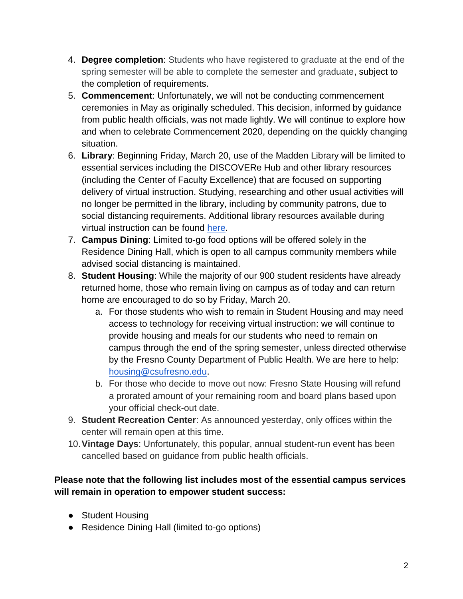- 4. **Degree completion**: Students who have registered to graduate at the end of the spring semester will be able to complete the semester and graduate, subject to the completion of requirements.
- 5. **Commencement**: Unfortunately, we will not be conducting commencement ceremonies in May as originally scheduled. This decision, informed by guidance from public health officials, was not made lightly. We will continue to explore how and when to celebrate Commencement 2020, depending on the quickly changing situation.
- 6. **Library**: Beginning Friday, March 20, use of the Madden Library will be limited to essential services including the DISCOVERe Hub and other library resources (including the Center of Faculty Excellence) that are focused on supporting delivery of virtual instruction. Studying, researching and other usual activities will no longer be permitted in the library, including by community patrons, due to social distancing requirements. Additional library resources available during virtual instruction can be found [here.](https://library.fresnostate.edu/covid-19)
- 7. **Campus Dining**: Limited to-go food options will be offered solely in the Residence Dining Hall, which is open to all campus community members while advised social distancing is maintained.
- 8. **Student Housing**: While the majority of our 900 student residents have already returned home, those who remain living on campus as of today and can return home are encouraged to do so by Friday, March 20.
	- a. For those students who wish to remain in Student Housing and may need access to technology for receiving virtual instruction: we will continue to provide housing and meals for our students who need to remain on campus through the end of the spring semester, unless directed otherwise by the Fresno County Department of Public Health. We are here to help: [housing@csufresno.edu.](mailto:housing@csufresno.edu)
	- b. For those who decide to move out now: Fresno State Housing will refund a prorated amount of your remaining room and board plans based upon your official check-out date.
- 9. **Student Recreation Center**: As announced yesterday, only offices within the center will remain open at this time.
- 10.**Vintage Days**: Unfortunately, this popular, annual student-run event has been cancelled based on guidance from public health officials.

## **Please note that the following list includes most of the essential campus services will remain in operation to empower student success:**

- Student Housing
- Residence Dining Hall (limited to-go options)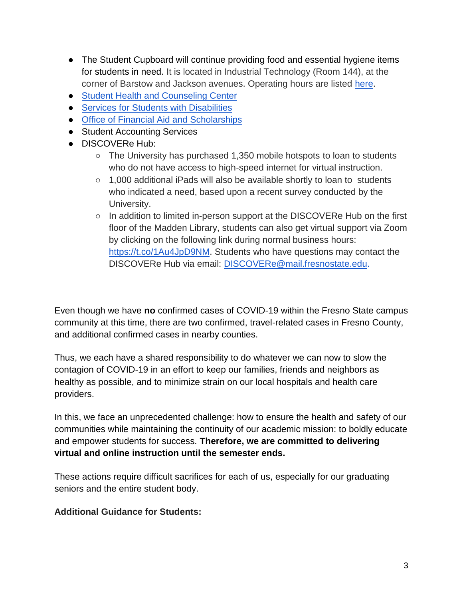- The Student Cupboard will continue providing food and essential hygiene items for students in need. It is located in Industrial Technology (Room 144), at the corner of Barstow and Jackson avenues. Operating hours are listed [here.](http://www.fresnostate.edu/studentaffairs/foodsecurity/student-cupboard.html)
- [Student Health and Counseling Center](http://www.fresnostate.edu/studentaffairs/health/)
- [Services for Students with Disabilities](http://www.fresnostate.edu/studentaffairs/ssd/)
- [Office of Financial Aid and Scholarships](https://www.fresnostate.edu/studentaffairs/financialaid/)
- Student Accounting Services
- DISCOVERe Hub:
	- The University has purchased 1,350 mobile hotspots to loan to students who do not have access to high-speed internet for virtual instruction.
	- 1,000 additional iPads will also be available shortly to loan to students who indicated a need, based upon a recent survey conducted by the University.
	- In addition to limited in-person support at the DISCOVERe Hub on the first floor of the Madden Library, students can also get virtual support via Zoom by clicking on the following link during normal business hours: [https://t.co/1Au4JpD9NM.](https://t.co/1Au4JpD9NM) Students who have questions may contact the DISCOVERe Hub via email: [DISCOVERe@mail.fresnostate.edu.](mailto:DISCOVERe@mail.fresnostate.edu)

Even though we have **no** confirmed cases of COVID-19 within the Fresno State campus community at this time, there are two confirmed, travel-related cases in Fresno County, and additional confirmed cases in nearby counties.

Thus, we each have a shared responsibility to do whatever we can now to slow the contagion of COVID-19 in an effort to keep our families, friends and neighbors as healthy as possible, and to minimize strain on our local hospitals and health care providers.

In this, we face an unprecedented challenge: how to ensure the health and safety of our communities while maintaining the continuity of our academic mission: to boldly educate and empower students for success. **Therefore, we are committed to delivering virtual and online instruction until the semester ends.** 

These actions require difficult sacrifices for each of us, especially for our graduating seniors and the entire student body.

**Additional Guidance for Students:**